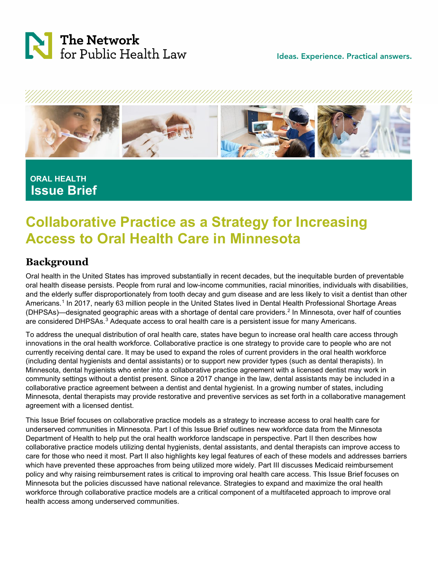



## **ORAL HEALTH Issue Brief**

# **Collaborative Practice as a Strategy for Increasing Access to Oral Health Care in Minnesota**

### **Background**

Oral health in the United States has improved substantially in recent decades, but the inequitable burden of preventable oral health disease persists. People from rural and low-income communities, racial minorities, individuals with disabilities, and the elderly suffer disproportionately from tooth decay and gum disease and are less likely to visit a dentist than other Americans.<sup>[1](#page-12-0)</sup> In 2017, nearly 63 million people in the United States lived in Dental Health Professional Shortage Areas (DHPSAs)—designated geographic areas with a shortage of dental care providers.[2](#page-12-1) In Minnesota, over half of counties are considered DHPSAs.<sup>[3](#page-12-2)</sup> Adequate access to oral health care is a persistent issue for many Americans.

To address the unequal distribution of oral health care, states have begun to increase oral health care access through innovations in the oral health workforce. Collaborative practice is one strategy to provide care to people who are not currently receiving dental care. It may be used to expand the roles of current providers in the oral health workforce (including dental hygienists and dental assistants) or to support new provider types (such as dental therapists). In Minnesota, dental hygienists who enter into a collaborative practice agreement with a licensed dentist may work in community settings without a dentist present. Since a 2017 change in the law, dental assistants may be included in a collaborative practice agreement between a dentist and dental hygienist. In a growing number of states, including Minnesota, dental therapists may provide restorative and preventive services as set forth in a collaborative management agreement with a licensed dentist.

This Issue Brief focuses on collaborative practice models as a strategy to increase access to oral health care for underserved communities in Minnesota. Part I of this Issue Brief outlines new workforce data from the Minnesota Department of Health to help put the oral health workforce landscape in perspective. Part II then describes how collaborative practice models utilizing dental hygienists, dental assistants, and dental therapists can improve access to care for those who need it most. Part II also highlights key legal features of each of these models and addresses barriers which have prevented these approaches from being utilized more widely. Part III discusses Medicaid reimbursement policy and why raising reimbursement rates is critical to improving oral health care access. This Issue Brief focuses on Minnesota but the policies discussed have national relevance. Strategies to expand and maximize the oral health workforce through collaborative practice models are a critical component of a multifaceted approach to improve oral health access among underserved communities.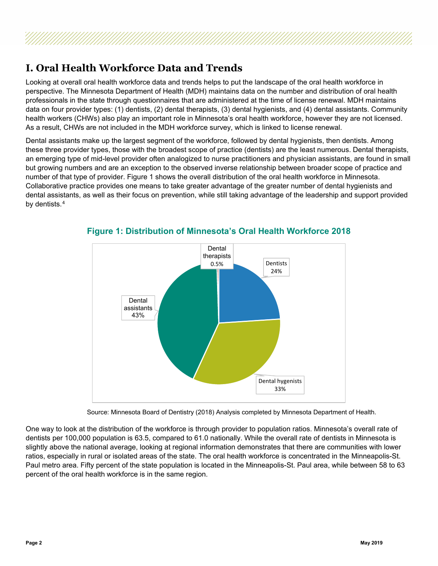### **I. Oral Health Workforce Data and Trends**

Looking at overall oral health workforce data and trends helps to put the landscape of the oral health workforce in perspective. The Minnesota Department of Health (MDH) maintains data on the number and distribution of oral health professionals in the state through questionnaires that are administered at the time of license renewal. MDH maintains data on four provider types: (1) dentists, (2) dental therapists, (3) dental hygienists, and (4) dental assistants. Community health workers (CHWs) also play an important role in Minnesota's oral health workforce, however they are not licensed. As a result, CHWs are not included in the MDH workforce survey, which is linked to license renewal.

Dental assistants make up the largest segment of the workforce, followed by dental hygienists, then dentists. Among these three provider types, those with the broadest scope of practice (dentists) are the least numerous. Dental therapists, an emerging type of mid-level provider often analogized to nurse practitioners and physician assistants, are found in small but growing numbers and are an exception to the observed inverse relationship between broader scope of practice and number of that type of provider. Figure 1 shows the overall distribution of the oral health workforce in Minnesota. Collaborative practice provides one means to take greater advantage of the greater number of dental hygienists and dental assistants, as well as their focus on prevention, while still taking advantage of the leadership and support provided by dentists.[4](#page-12-3)



#### **Figure 1: Distribution of Minnesota's Oral Health Workforce 2018**

Source: Minnesota Board of Dentistry (2018) Analysis completed by Minnesota Department of Health.

One way to look at the distribution of the workforce is through provider to population ratios. Minnesota's overall rate of dentists per 100,000 population is 63.5, compared to 61.0 nationally. While the overall rate of dentists in Minnesota is slightly above the national average, looking at regional information demonstrates that there are communities with lower ratios, especially in rural or isolated areas of the state. The oral health workforce is concentrated in the Minneapolis-St. Paul metro area. Fifty percent of the state population is located in the Minneapolis-St. Paul area, while between 58 to 63 percent of the oral health workforce is in the same region.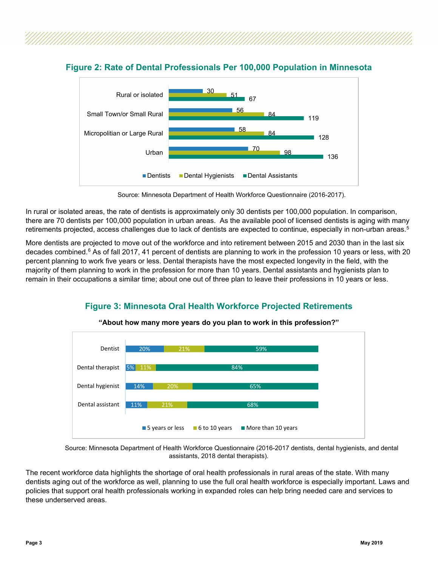

#### **Figure 2: Rate of Dental Professionals Per 100,000 Population in Minnesota**

Source: Minnesota Department of Health Workforce Questionnaire (2016-2017).

In rural or isolated areas, the rate of dentists is approximately only 30 dentists per 100,000 population. In comparison, there are 70 dentists per 100,000 population in urban areas. As the available pool of licensed dentists is aging with many retirements projected, access challenges due to lack of dentists are expected to continue, especially in non-urban areas.<sup>5</sup>

More dentists are projected to move out of the workforce and into retirement between 2015 and 2030 than in the last six decades combined. $6$  As of fall 2017, 41 percent of dentists are planning to work in the profession 10 years or less, with 20 percent planning to work five years or less. Dental therapists have the most expected longevity in the field, with the majority of them planning to work in the profession for more than 10 years. Dental assistants and hygienists plan to remain in their occupations a similar time; about one out of three plan to leave their professions in 10 years or less.

### **Figure 3: Minnesota Oral Health Workforce Projected Retirements**



**"About how many more years do you plan to work in this profession?"**

Source: Minnesota Department of Health Workforce Questionnaire (2016-2017 dentists, dental hygienists, and dental assistants, 2018 dental therapists).

The recent workforce data highlights the shortage of oral health professionals in rural areas of the state. With many dentists aging out of the workforce as well, planning to use the full oral health workforce is especially important. Laws and policies that support oral health professionals working in expanded roles can help bring needed care and services to these underserved areas.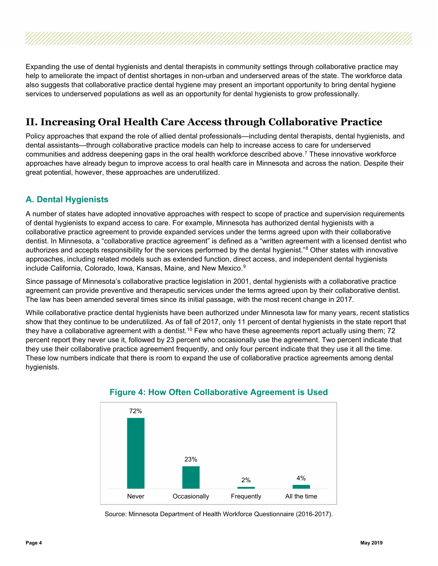Expanding the use of dental hygienists and dental therapists in community settings through collaborative practice may help to ameliorate the impact of dentist shortages in non-urban and underserved areas of the state. The workforce data also suggests that collaborative practice dental hygiene may present an important opportunity to bring dental hygiene services to underserved populations as well as an opportunity for dental hygienists to grow professionally.

### **II. Increasing Oral Health Care Access through Collaborative Practice**

Policy approaches that expand the role of allied dental professionals—including dental therapists, dental hygienists, and dental assistants—through collaborative practice models can help to increase access to care for underserved communities and address deepening gaps in the oral health workforce described above.[7](#page-12-6) These innovative workforce approaches have already begun to improve access to oral health care in Minnesota and across the nation. Despite their great potential, however, these approaches are underutilized.

### **A. Dental Hygienists**

A number of states have adopted innovative approaches with respect to scope of practice and supervision requirements of dental hygienists to expand access to care. For example, Minnesota has authorized dental hygienists with a collaborative practice agreement to provide expanded services under the terms agreed upon with their collaborative dentist. In Minnesota, a "collaborative practice agreement" is defined as a "written agreement with a licensed dentist who authorizes and accepts responsibility for the services performed by the dental hygienist."<sup>[8](#page-12-7)</sup> Other states with innovative approaches, including related models such as extended function, direct access, and independent dental hygienists include California, Colorado, Iowa, Kansas, Maine, and New Mexico.<sup>[9](#page-12-8)</sup>

Since passage of Minnesota's collaborative practice legislation in 2001, dental hygienists with a collaborative practice agreement can provide preventive and therapeutic services under the terms agreed upon by their collaborative dentist. The law has been amended several times since its initial passage, with the most recent change in 2017.

While collaborative practice dental hygienists have been authorized under Minnesota law for many years, recent statistics show that they continue to be underutilized. As of fall of 2017, only 11 percent of dental hygienists in the state report that they have a collaborative agreement with a dentist.<sup>[10](#page-12-9)</sup> Few who have these agreements report actually using them; 72 percent report they never use it, followed by 23 percent who occasionally use the agreement. Two percent indicate that they use their collaborative practice agreement frequently, and only four percent indicate that they use it all the time. These low numbers indicate that there is room to expand the use of collaborative practice agreements among dental hygienists.



#### **Figure 4: How Often Collaborative Agreement is Used**

Source: Minnesota Department of Health Workforce Questionnaire (2016-2017).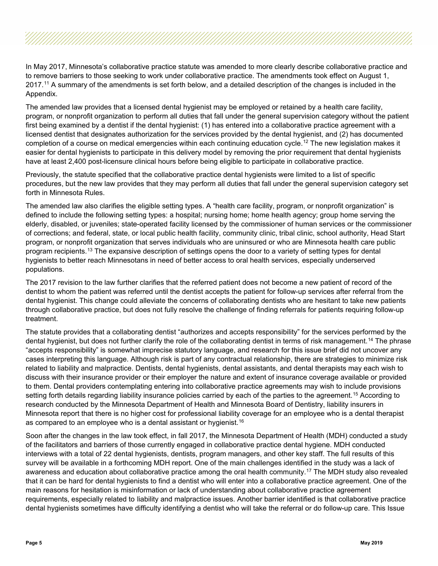In May 2017, Minnesota's collaborative practice statute was amended to more clearly describe collaborative practice and to remove barriers to those seeking to work under collaborative practice. The amendments took effect on August 1,  $2017<sup>11</sup>$  $2017<sup>11</sup>$  $2017<sup>11</sup>$  A summary of the amendments is set forth below, and a detailed description of the changes is included in the Appendix.

The amended law provides that a licensed dental hygienist may be employed or retained by a health care facility, program, or nonprofit organization to perform all duties that fall under the general supervision category without the patient first being examined by a dentist if the dental hygienist: (1) has entered into a collaborative practice agreement with a licensed dentist that designates authorization for the services provided by the dental hygienist, and (2) has documented completion of a course on medical emergencies within each continuing education cycle.<sup>[12](#page-12-11)</sup> The new legislation makes it easier for dental hygienists to participate in this delivery model by removing the prior requirement that dental hygienists have at least 2,400 post-licensure clinical hours before being eligible to participate in collaborative practice.

Previously, the statute specified that the collaborative practice dental hygienists were limited to a list of specific procedures, but the new law provides that they may perform all duties that fall under the general supervision category set forth in Minnesota Rules.

The amended law also clarifies the eligible setting types. A "health care facility, program, or nonprofit organization" is defined to include the following setting types: a hospital; nursing home; home health agency; group home serving the elderly, disabled, or juveniles; state-operated facility licensed by the commissioner of human services or the commissioner of corrections; and federal, state, or local public health facility, community clinic, tribal clinic, school authority, Head Start program, or nonprofit organization that serves individuals who are uninsured or who are Minnesota health care public program recipients.<sup>[13](#page-12-12)</sup> The expansive description of settings opens the door to a variety of setting types for dental hygienists to better reach Minnesotans in need of better access to oral health services, especially underserved populations.

The 2017 revision to the law further clarifies that the referred patient does not become a new patient of record of the dentist to whom the patient was referred until the dentist accepts the patient for follow-up services after referral from the dental hygienist. This change could alleviate the concerns of collaborating dentists who are hesitant to take new patients through collaborative practice, but does not fully resolve the challenge of finding referrals for patients requiring follow-up treatment.

The statute provides that a collaborating dentist "authorizes and accepts responsibility" for the services performed by the dental hygienist, but does not further clarify the role of the collaborating dentist in terms of risk management. [14](#page-12-13) The phrase "accepts responsibility" is somewhat imprecise statutory language, and research for this issue brief did not uncover any cases interpreting this language. Although risk is part of any contractual relationship, there are strategies to minimize risk related to liability and malpractice. Dentists, dental hygienists, dental assistants, and dental therapists may each wish to discuss with their insurance provider or their employer the nature and extent of insurance coverage available or provided to them. Dental providers contemplating entering into collaborative practice agreements may wish to include provisions setting forth details regarding liability insurance policies carried by each of the parties to the agreement. [15](#page-13-0) According to research conducted by the Minnesota Department of Health and Minnesota Board of Dentistry, liability insurers in Minnesota report that there is no higher cost for professional liability coverage for an employee who is a dental therapist as compared to an employee who is a dental assistant or hygienist.<sup>[16](#page-13-1)</sup>

Soon after the changes in the law took effect, in fall 2017, the Minnesota Department of Health (MDH) conducted a study of the facilitators and barriers of those currently engaged in collaborative practice dental hygiene. MDH conducted interviews with a total of 22 dental hygienists, dentists, program managers, and other key staff. The full results of this survey will be available in a forthcoming MDH report. One of the main challenges identified in the study was a lack of awareness and education about collaborative practice among the oral health community.[17](#page-13-2) The MDH study also revealed that it can be hard for dental hygienists to find a dentist who will enter into a collaborative practice agreement. One of the main reasons for hesitation is misinformation or lack of understanding about collaborative practice agreement requirements, especially related to liability and malpractice issues. Another barrier identified is that collaborative practice dental hygienists sometimes have difficulty identifying a dentist who will take the referral or do follow-up care. This Issue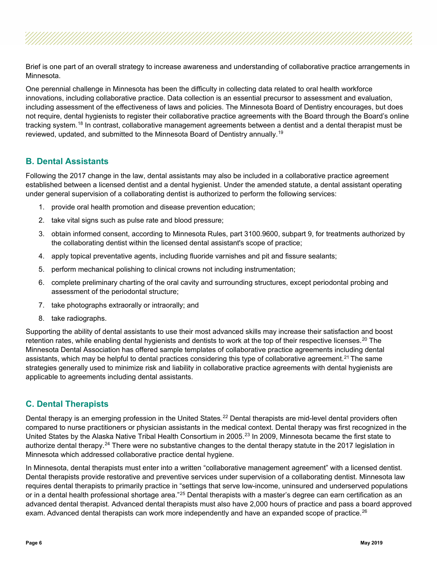Brief is one part of an overall strategy to increase awareness and understanding of collaborative practice arrangements in Minnesota.

One perennial challenge in Minnesota has been the difficulty in collecting data related to oral health workforce innovations, including collaborative practice. Data collection is an essential precursor to assessment and evaluation, including assessment of the effectiveness of laws and policies. The Minnesota Board of Dentistry encourages, but does not require, dental hygienists to register their collaborative practice agreements with the Board through the Board's online tracking system.<sup>[18](#page-13-3)</sup> In contrast, collaborative management agreements between a dentist and a dental therapist must be reviewed, updated, and submitted to the Minnesota Board of Dentistry annually.[19](#page-13-4)

#### **B. Dental Assistants**

Following the 2017 change in the law, dental assistants may also be included in a collaborative practice agreement established between a licensed dentist and a dental hygienist. Under the amended statute, a dental assistant operating under general supervision of a collaborating dentist is authorized to perform the following services:

- 1. provide oral health promotion and disease prevention education;
- 2. take vital signs such as pulse rate and blood pressure;
- 3. obtain informed consent, according to Minnesota Rules, part 3100.9600, subpart 9, for treatments authorized by the collaborating dentist within the licensed dental assistant's scope of practice;
- 4. apply topical preventative agents, including fluoride varnishes and pit and fissure sealants;
- 5. perform mechanical polishing to clinical crowns not including instrumentation;
- 6. complete preliminary charting of the oral cavity and surrounding structures, except periodontal probing and assessment of the periodontal structure;
- 7. take photographs extraorally or intraorally; and
- 8. take radiographs.

Supporting the ability of dental assistants to use their most advanced skills may increase their satisfaction and boost retention rates, while enabling dental hygienists and dentists to work at the top of their respective licenses.<sup>[20](#page-13-5)</sup> The Minnesota Dental Association has offered sample templates of collaborative practice agreements including dental assistants, which may be helpful to dental practices considering this type of collaborative agreement.<sup>[21](#page-13-6)</sup> The same strategies generally used to minimize risk and liability in collaborative practice agreements with dental hygienists are applicable to agreements including dental assistants.

#### **C. Dental Therapists**

Dental therapy is an emerging profession in the United States.<sup>[22](#page-13-7)</sup> Dental therapists are mid-level dental providers often compared to nurse practitioners or physician assistants in the medical context. Dental therapy was first recognized in the United States by the Alaska Native Tribal Health Consortium in 2005.<sup>[23](#page-13-8)</sup> In 2009, Minnesota became the first state to authorize dental therapy.<sup>[24](#page-13-9)</sup> There were no substantive changes to the dental therapy statute in the 2017 legislation in Minnesota which addressed collaborative practice dental hygiene.

In Minnesota, dental therapists must enter into a written "collaborative management agreement" with a licensed dentist. Dental therapists provide restorative and preventive services under supervision of a collaborating dentist. Minnesota law requires dental therapists to primarily practice in "settings that serve low-income, uninsured and underserved populations or in a dental health professional shortage area."<sup>[25](#page-13-10)</sup> Dental therapists with a master's degree can earn certification as an advanced dental therapist. Advanced dental therapists must also have 2,000 hours of practice and pass a board approved exam. Advanced dental therapists can work more independently and have an expanded scope of practice.<sup>[26](#page-13-11)</sup>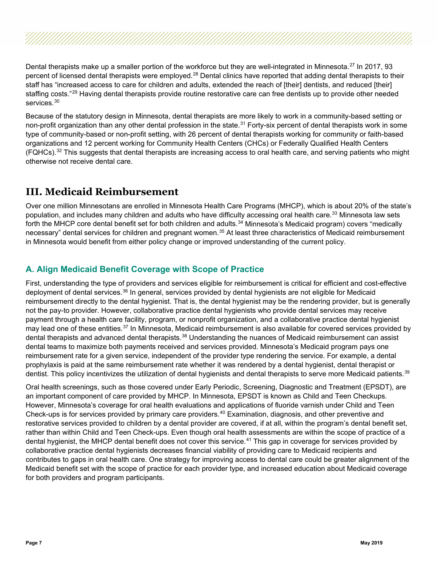Dental therapists make up a smaller portion of the workforce but they are well-integrated in Minnesota.<sup>[27](#page-13-12)</sup> In 2017, 93 percent of licensed dental therapists were employed.<sup>[28](#page-13-13)</sup> Dental clinics have reported that adding dental therapists to their staff has "increased access to care for children and adults, extended the reach of [their] dentists, and reduced [their] staffing costs."<sup>[29](#page-13-14)</sup> Having dental therapists provide routine restorative care can free dentists up to provide other needed services.<sup>[30](#page-13-15)</sup>

Because of the statutory design in Minnesota, dental therapists are more likely to work in a community-based setting or non-profit organization than any other dental profession in the state.<sup>[31](#page-13-16)</sup> Forty-six percent of dental therapists work in some type of community-based or non-profit setting, with 26 percent of dental therapists working for community or faith-based organizations and 12 percent working for Community Health Centers (CHCs) or Federally Qualified Health Centers (FQHCs).<sup>[32](#page-13-17)</sup> This suggests that dental therapists are increasing access to oral health care, and serving patients who might otherwise not receive dental care.

### **III. Medicaid Reimbursement**

Over one million Minnesotans are enrolled in Minnesota Health Care Programs (MHCP), which is about 20% of the state's population, and includes many children and adults who have difficulty accessing oral health care. [33](#page-13-18) Minnesota law sets forth the MHCP core dental benefit set for both children and adults.<sup>[34](#page-13-19)</sup> Minnesota's Medicaid program) covers "medically necessary" dental services for children and pregnant women.<sup>[35](#page-13-20)</sup> At least three characteristics of Medicaid reimbursement in Minnesota would benefit from either policy change or improved understanding of the current policy.

#### **A. Align Medicaid Benefit Coverage with Scope of Practice**

First, understanding the type of providers and services eligible for reimbursement is critical for efficient and cost-effective deployment of dental services.<sup>[36](#page-14-0)</sup> In general, services provided by dental hygienists are not eligible for Medicaid reimbursement directly to the dental hygienist. That is, the dental hygienist may be the rendering provider, but is generally not the pay-to provider. However, collaborative practice dental hygienists who provide dental services may receive payment through a health care facility, program, or nonprofit organization, and a collaborative practice dental hygienist may lead one of these entities.<sup>[37](#page-14-1)</sup> In Minnesota, Medicaid reimbursement is also available for covered services provided by dental therapists and advanced dental therapists.<sup>[38](#page-14-2)</sup> Understanding the nuances of Medicaid reimbursement can assist dental teams to maximize both payments received and services provided. Minnesota's Medicaid program pays one reimbursement rate for a given service, independent of the provider type rendering the service. For example, a dental prophylaxis is paid at the same reimbursement rate whether it was rendered by a dental hygienist, dental therapist or dentist. This policy incentivizes the utilization of dental hygienists and dental therapists to serve more Medicaid patients.<sup>39</sup>

Oral health screenings, such as those covered under Early Periodic, Screening, Diagnostic and Treatment (EPSDT), are an important component of care provided by MHCP. In Minnesota, EPSDT is known as Child and Teen Checkups. However, Minnesota's coverage for oral health evaluations and applications of fluoride varnish under Child and Teen Check-ups is for services provided by primary care providers.<sup>[40](#page-14-4)</sup> Examination, diagnosis, and other preventive and restorative services provided to children by a dental provider are covered, if at all, within the program's dental benefit set, rather than within Child and Teen Check-ups. Even though oral health assessments are within the scope of practice of a dental hygienist, the MHCP dental benefit does not cover this service.[41](#page-14-5) This gap in coverage for services provided by collaborative practice dental hygienists decreases financial viability of providing care to Medicaid recipients and contributes to gaps in oral health care. One strategy for improving access to dental care could be greater alignment of the Medicaid benefit set with the scope of practice for each provider type, and increased education about Medicaid coverage for both providers and program participants.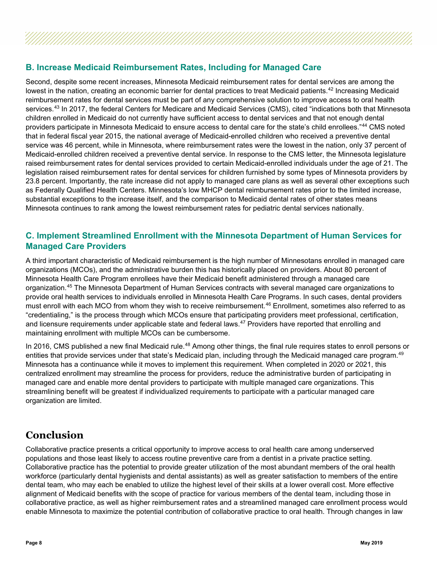#### **B. Increase Medicaid Reimbursement Rates, Including for Managed Care**

Second, despite some recent increases, Minnesota Medicaid reimbursement rates for dental services are among the lowest in the nation, creating an economic barrier for dental practices to treat Medicaid patients.<sup>[42](#page-14-6)</sup> Increasing Medicaid reimbursement rates for dental services must be part of any comprehensive solution to improve access to oral health services.<sup>[43](#page-14-7)</sup> In 2017, the federal Centers for Medicare and Medicaid Services (CMS), cited "indications both that Minnesota children enrolled in Medicaid do not currently have sufficient access to dental services and that not enough dental providers participate in Minnesota Medicaid to ensure access to dental care for the state's child enrollees."[44](#page-14-8) CMS noted that in federal fiscal year 2015, the national average of Medicaid-enrolled children who received a preventive dental service was 46 percent, while in Minnesota, where reimbursement rates were the lowest in the nation, only 37 percent of Medicaid-enrolled children received a preventive dental service. In response to the CMS letter, the Minnesota legislature raised reimbursement rates for dental services provided to certain Medicaid-enrolled individuals under the age of 21. The legislation raised reimbursement rates for dental services for children furnished by some types of Minnesota providers by 23.8 percent. Importantly, the rate increase did not apply to managed care plans as well as several other exceptions such as Federally Qualified Health Centers. Minnesota's low MHCP dental reimbursement rates prior to the limited increase, substantial exceptions to the increase itself, and the comparison to Medicaid dental rates of other states means Minnesota continues to rank among the lowest reimbursement rates for pediatric dental services nationally.

#### **C. Implement Streamlined Enrollment with the Minnesota Department of Human Services for Managed Care Providers**

A third important characteristic of Medicaid reimbursement is the high number of Minnesotans enrolled in managed care organizations (MCOs), and the administrative burden this has historically placed on providers. About 80 percent of Minnesota Health Care Program enrollees have their Medicaid benefit administered through a managed care organization.[45](#page-14-9) The Minnesota Department of Human Services contracts with several managed care organizations to provide oral health services to individuals enrolled in Minnesota Health Care Programs. In such cases, dental providers must enroll with each MCO from whom they wish to receive reimbursement. [46](#page-14-10) Enrollment, sometimes also referred to as "credentialing," is the process through which MCOs ensure that participating providers meet professional, certification, and licensure requirements under applicable state and federal laws.<sup>[47](#page-14-11)</sup> Providers have reported that enrolling and maintaining enrollment with multiple MCOs can be cumbersome.

In 2016, CMS published a new final Medicaid rule.<sup>[48](#page-14-12)</sup> Among other things, the final rule requires states to enroll persons or entities that provide services under that state's Medicaid plan, including through the Medicaid managed care program.<sup>[49](#page-14-13)</sup> Minnesota has a continuance while it moves to implement this requirement. When completed in 2020 or 2021, this centralized enrollment may streamline the process for providers, reduce the administrative burden of participating in managed care and enable more dental providers to participate with multiple managed care organizations. This streamlining benefit will be greatest if individualized requirements to participate with a particular managed care organization are limited.

### **Conclusion**

Collaborative practice presents a critical opportunity to improve access to oral health care among underserved populations and those least likely to access routine preventive care from a dentist in a private practice setting. Collaborative practice has the potential to provide greater utilization of the most abundant members of the oral health workforce (particularly dental hygienists and dental assistants) as well as greater satisfaction to members of the entire dental team, who may each be enabled to utilize the highest level of their skills at a lower overall cost. More effective alignment of Medicaid benefits with the scope of practice for various members of the dental team, including those in collaborative practice, as well as higher reimbursement rates and a streamlined managed care enrollment process would enable Minnesota to maximize the potential contribution of collaborative practice to oral health. Through changes in law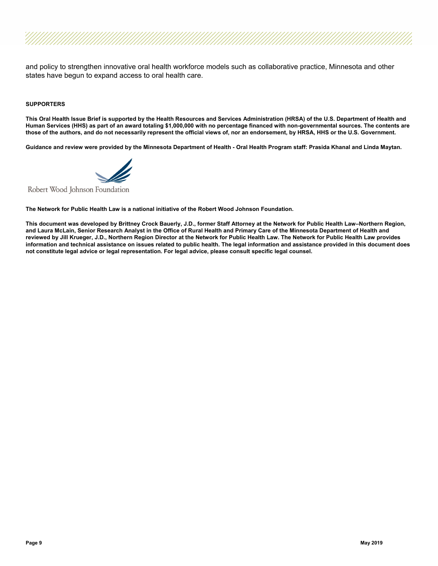and policy to strengthen innovative oral health workforce models such as collaborative practice, Minnesota and other states have begun to expand access to oral health care.

#### **SUPPORTERS**

**This Oral Health Issue Brief is supported by the Health Resources and Services Administration (HRSA) of the U.S. Department of Health and Human Services (HHS) as part of an award totaling \$1,000,000 with no percentage financed with non-governmental sources. The contents are those of the authors, and do not necessarily represent the official views of, nor an endorsement, by HRSA, HHS or the U.S. Government.**

**Guidance and review were provided by the Minnesota Department of Health - Oral Health Program staff: Prasida Khanal and Linda Maytan.**



Robert Wood Johnson Foundation

**The Network for Public Health Law is a national initiative of the Robert Wood Johnson Foundation.**

**This document was developed by Brittney Crock Bauerly, J.D., former Staff Attorney at the Network for Public Health Law–Northern Region, and Laura McLain, Senior Research Analyst in the Office of Rural Health and Primary Care of the Minnesota Department of Health and reviewed by Jill Krueger, J.D., Northern Region Director at the Network for Public Health Law. The Network for Public Health Law provides information and technical assistance on issues related to public health. The legal information and assistance provided in this document does not constitute legal advice or legal representation. For legal advice, please consult specific legal counsel.**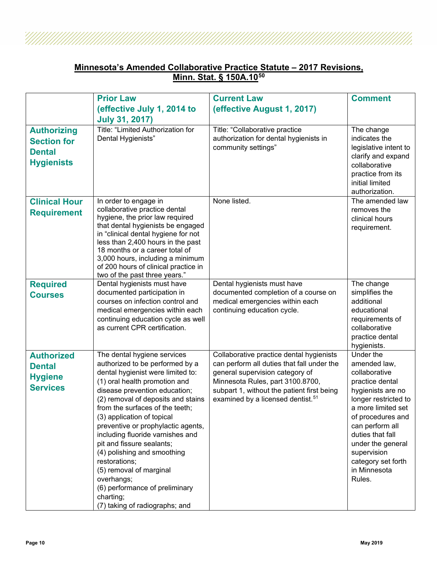#### **Minnesota's Amended Collaborative Practice Statute – 2017 Revisions, Minn. Stat. § 150A.10[50](#page-14-14)**

|                                                                                | <b>Prior Law</b>                                                                                                                                                                                                                                                                                                                                                                                                                                                                                                               | <b>Current Law</b>                                                                                                                                                                                               | <b>Comment</b>                                                                                                                                                                                                                                                      |
|--------------------------------------------------------------------------------|--------------------------------------------------------------------------------------------------------------------------------------------------------------------------------------------------------------------------------------------------------------------------------------------------------------------------------------------------------------------------------------------------------------------------------------------------------------------------------------------------------------------------------|------------------------------------------------------------------------------------------------------------------------------------------------------------------------------------------------------------------|---------------------------------------------------------------------------------------------------------------------------------------------------------------------------------------------------------------------------------------------------------------------|
|                                                                                | (effective July 1, 2014 to                                                                                                                                                                                                                                                                                                                                                                                                                                                                                                     | (effective August 1, 2017)                                                                                                                                                                                       |                                                                                                                                                                                                                                                                     |
|                                                                                | <b>July 31, 2017)</b>                                                                                                                                                                                                                                                                                                                                                                                                                                                                                                          |                                                                                                                                                                                                                  |                                                                                                                                                                                                                                                                     |
| <b>Authorizing</b><br><b>Section for</b><br><b>Dental</b><br><b>Hygienists</b> | Title: "Limited Authorization for<br>Dental Hygienists"                                                                                                                                                                                                                                                                                                                                                                                                                                                                        | Title: "Collaborative practice<br>authorization for dental hygienists in<br>community settings"                                                                                                                  | The change<br>indicates the<br>legislative intent to<br>clarify and expand<br>collaborative<br>practice from its<br>initial limited<br>authorization.                                                                                                               |
| <b>Clinical Hour</b><br><b>Requirement</b>                                     | In order to engage in<br>collaborative practice dental<br>hygiene, the prior law required<br>that dental hygienists be engaged<br>in "clinical dental hygiene for not<br>less than 2,400 hours in the past<br>18 months or a career total of<br>3,000 hours, including a minimum<br>of 200 hours of clinical practice in<br>two of the past three years."                                                                                                                                                                      | None listed.                                                                                                                                                                                                     | The amended law<br>removes the<br>clinical hours<br>requirement.                                                                                                                                                                                                    |
| <b>Required</b>                                                                | Dental hygienists must have                                                                                                                                                                                                                                                                                                                                                                                                                                                                                                    | Dental hygienists must have                                                                                                                                                                                      | The change                                                                                                                                                                                                                                                          |
| <b>Courses</b>                                                                 | documented participation in<br>courses on infection control and<br>medical emergencies within each<br>continuing education cycle as well<br>as current CPR certification.                                                                                                                                                                                                                                                                                                                                                      | documented completion of a course on<br>medical emergencies within each<br>continuing education cycle.                                                                                                           | simplifies the<br>additional<br>educational<br>requirements of<br>collaborative<br>practice dental<br>hygienists.                                                                                                                                                   |
| <b>Authorized</b>                                                              | The dental hygiene services                                                                                                                                                                                                                                                                                                                                                                                                                                                                                                    | Collaborative practice dental hygienists                                                                                                                                                                         | Under the                                                                                                                                                                                                                                                           |
| <b>Dental</b><br><b>Hygiene</b><br><b>Services</b>                             | authorized to be performed by a<br>dental hygienist were limited to:<br>(1) oral health promotion and<br>disease prevention education;<br>(2) removal of deposits and stains<br>from the surfaces of the teeth;<br>(3) application of topical<br>preventive or prophylactic agents,<br>including fluoride varnishes and<br>pit and fissure sealants;<br>(4) polishing and smoothing<br>restorations;<br>(5) removal of marginal<br>overhangs;<br>(6) performance of preliminary<br>charting;<br>(7) taking of radiographs; and | can perform all duties that fall under the<br>general supervision category of<br>Minnesota Rules, part 3100.8700,<br>subpart 1, without the patient first being<br>examined by a licensed dentist. <sup>51</sup> | amended law,<br>collaborative<br>practice dental<br>hygienists are no<br>longer restricted to<br>a more limited set<br>of procedures and<br>can perform all<br>duties that fall<br>under the general<br>supervision<br>category set forth<br>in Minnesota<br>Rules. |

Ž

Ž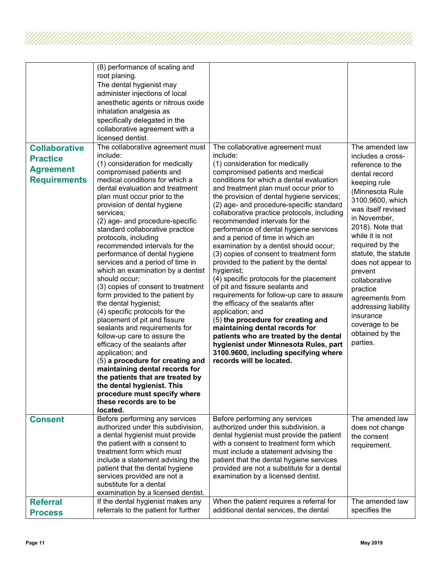| <b>Collaborative</b><br><b>Practice</b><br><b>Agreement</b><br><b>Requirements</b> | (8) performance of scaling and<br>root planing.<br>The dental hygienist may<br>administer injections of local<br>anesthetic agents or nitrous oxide<br>inhalation analgesia as<br>specifically delegated in the<br>collaborative agreement with a<br>licensed dentist.<br>The collaborative agreement must<br>include:<br>(1) consideration for medically<br>compromised patients and<br>medical conditions for which a<br>dental evaluation and treatment<br>plan must occur prior to the<br>provision of dental hygiene<br>services;<br>(2) age- and procedure-specific<br>standard collaborative practice<br>protocols, including<br>recommended intervals for the<br>performance of dental hygiene<br>services and a period of time in<br>which an examination by a dentist<br>should occur;<br>(3) copies of consent to treatment<br>form provided to the patient by<br>the dental hygienist;<br>(4) specific protocols for the<br>placement of pit and fissure<br>sealants and requirements for<br>follow-up care to assure the<br>efficacy of the sealants after<br>application; and<br>(5) a procedure for creating and<br>maintaining dental records for<br>the patients that are treated by<br>the dental hygienist. This<br>procedure must specify where<br>these records are to be<br>located. | The collaborative agreement must<br>include:<br>(1) consideration for medically<br>compromised patients and medical<br>conditions for which a dental evaluation<br>and treatment plan must occur prior to<br>the provision of dental hygiene services;<br>(2) age- and procedure-specific standard<br>collaborative practice protocols, including<br>recommended intervals for the<br>performance of dental hygiene services<br>and a period of time in which an<br>examination by a dentist should occur;<br>(3) copies of consent to treatment form<br>provided to the patient by the dental<br>hygienist;<br>(4) specific protocols for the placement<br>of pit and fissure sealants and<br>requirements for follow-up care to assure<br>the efficacy of the sealants after<br>application; and<br>(5) the procedure for creating and<br>maintaining dental records for<br>patients who are treated by the dental<br>hygienist under Minnesota Rules, part<br>3100.9600, including specifying where<br>records will be located. | The amended law<br>includes a cross-<br>reference to the<br>dental record<br>keeping rule<br>(Minnesota Rule<br>3100.9600, which<br>was itself revised<br>in November,<br>2018). Note that<br>while it is not<br>required by the<br>statute, the statute<br>does not appear to<br>prevent<br>collaborative<br>practice<br>agreements from<br>addressing liability<br>insurance<br>coverage to be<br>obtained by the<br>parties. |
|------------------------------------------------------------------------------------|------------------------------------------------------------------------------------------------------------------------------------------------------------------------------------------------------------------------------------------------------------------------------------------------------------------------------------------------------------------------------------------------------------------------------------------------------------------------------------------------------------------------------------------------------------------------------------------------------------------------------------------------------------------------------------------------------------------------------------------------------------------------------------------------------------------------------------------------------------------------------------------------------------------------------------------------------------------------------------------------------------------------------------------------------------------------------------------------------------------------------------------------------------------------------------------------------------------------------------------------------------------------------------------------------------|------------------------------------------------------------------------------------------------------------------------------------------------------------------------------------------------------------------------------------------------------------------------------------------------------------------------------------------------------------------------------------------------------------------------------------------------------------------------------------------------------------------------------------------------------------------------------------------------------------------------------------------------------------------------------------------------------------------------------------------------------------------------------------------------------------------------------------------------------------------------------------------------------------------------------------------------------------------------------------------------------------------------------------|---------------------------------------------------------------------------------------------------------------------------------------------------------------------------------------------------------------------------------------------------------------------------------------------------------------------------------------------------------------------------------------------------------------------------------|
| <b>Consent</b>                                                                     | Before performing any services<br>authorized under this subdivision,<br>a dental hygienist must provide<br>the patient with a consent to<br>treatment form which must<br>include a statement advising the<br>patient that the dental hygiene<br>services provided are not a<br>substitute for a dental<br>examination by a licensed dentist.                                                                                                                                                                                                                                                                                                                                                                                                                                                                                                                                                                                                                                                                                                                                                                                                                                                                                                                                                               | Before performing any services<br>authorized under this subdivision, a<br>dental hygienist must provide the patient<br>with a consent to treatment form which<br>must include a statement advising the<br>patient that the dental hygiene services<br>provided are not a substitute for a dental<br>examination by a licensed dentist.                                                                                                                                                                                                                                                                                                                                                                                                                                                                                                                                                                                                                                                                                             | The amended law<br>does not change<br>the consent<br>requirement.                                                                                                                                                                                                                                                                                                                                                               |
| <b>Referral</b><br><b>Process</b>                                                  | If the dental hygienist makes any<br>referrals to the patient for further                                                                                                                                                                                                                                                                                                                                                                                                                                                                                                                                                                                                                                                                                                                                                                                                                                                                                                                                                                                                                                                                                                                                                                                                                                  | When the patient requires a referral for<br>additional dental services, the dental                                                                                                                                                                                                                                                                                                                                                                                                                                                                                                                                                                                                                                                                                                                                                                                                                                                                                                                                                 | The amended law<br>specifies the                                                                                                                                                                                                                                                                                                                                                                                                |

Ű.

<u>TIININININININININININ</u>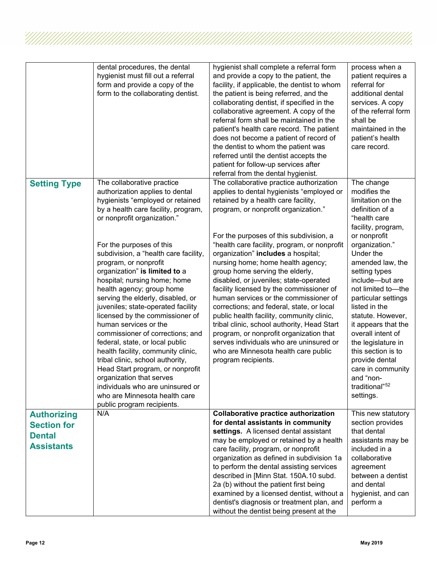|                                                                                | dental procedures, the dental<br>hygienist must fill out a referral<br>form and provide a copy of the<br>form to the collaborating dentist.                                                                                                                                                                                                                                                                                                                                                                                                                                                                                                                                                                                                                                                      | hygienist shall complete a referral form<br>and provide a copy to the patient, the<br>facility, if applicable, the dentist to whom<br>the patient is being referred, and the<br>collaborating dentist, if specified in the<br>collaborative agreement. A copy of the<br>referral form shall be maintained in the<br>patient's health care record. The patient<br>does not become a patient of record of<br>the dentist to whom the patient was<br>referred until the dentist accepts the<br>patient for follow-up services after<br>referral from the dental hygienist.                                                                                                                                                                                                                                    | process when a<br>patient requires a<br>referral for<br>additional dental<br>services. A copy<br>of the referral form<br>shall be<br>maintained in the<br>patient's health<br>care record.                                                                                                                                                                                                                                                                                   |
|--------------------------------------------------------------------------------|--------------------------------------------------------------------------------------------------------------------------------------------------------------------------------------------------------------------------------------------------------------------------------------------------------------------------------------------------------------------------------------------------------------------------------------------------------------------------------------------------------------------------------------------------------------------------------------------------------------------------------------------------------------------------------------------------------------------------------------------------------------------------------------------------|------------------------------------------------------------------------------------------------------------------------------------------------------------------------------------------------------------------------------------------------------------------------------------------------------------------------------------------------------------------------------------------------------------------------------------------------------------------------------------------------------------------------------------------------------------------------------------------------------------------------------------------------------------------------------------------------------------------------------------------------------------------------------------------------------------|------------------------------------------------------------------------------------------------------------------------------------------------------------------------------------------------------------------------------------------------------------------------------------------------------------------------------------------------------------------------------------------------------------------------------------------------------------------------------|
| <b>Setting Type</b>                                                            | The collaborative practice<br>authorization applies to dental<br>hygienists "employed or retained<br>by a health care facility, program,<br>or nonprofit organization."<br>For the purposes of this<br>subdivision, a "health care facility,<br>program, or nonprofit<br>organization" is limited to a<br>hospital; nursing home; home<br>health agency; group home<br>serving the elderly, disabled, or<br>juveniles; state-operated facility<br>licensed by the commissioner of<br>human services or the<br>commissioner of corrections; and<br>federal, state, or local public<br>health facility, community clinic,<br>tribal clinic, school authority,<br>Head Start program, or nonprofit<br>organization that serves<br>individuals who are uninsured or<br>who are Minnesota health care | The collaborative practice authorization<br>applies to dental hygienists "employed or<br>retained by a health care facility,<br>program, or nonprofit organization."<br>For the purposes of this subdivision, a<br>"health care facility, program, or nonprofit<br>organization" includes a hospital;<br>nursing home; home health agency;<br>group home serving the elderly,<br>disabled, or juveniles; state-operated<br>facility licensed by the commissioner of<br>human services or the commissioner of<br>corrections; and federal, state, or local<br>public health facility, community clinic,<br>tribal clinic, school authority, Head Start<br>program, or nonprofit organization that<br>serves individuals who are uninsured or<br>who are Minnesota health care public<br>program recipients. | The change<br>modifies the<br>limitation on the<br>definition of a<br>"health care<br>facility, program,<br>or nonprofit<br>organization."<br>Under the<br>amended law, the<br>setting types<br>include-but are<br>not limited to-the<br>particular settings<br>listed in the<br>statute. However,<br>it appears that the<br>overall intent of<br>the legislature in<br>this section is to<br>provide dental<br>care in community<br>and "non-<br>traditional" <sup>52</sup> |
|                                                                                | public program recipients.                                                                                                                                                                                                                                                                                                                                                                                                                                                                                                                                                                                                                                                                                                                                                                       |                                                                                                                                                                                                                                                                                                                                                                                                                                                                                                                                                                                                                                                                                                                                                                                                            | settings.                                                                                                                                                                                                                                                                                                                                                                                                                                                                    |
| <b>Authorizing</b><br><b>Section for</b><br><b>Dental</b><br><b>Assistants</b> | N/A                                                                                                                                                                                                                                                                                                                                                                                                                                                                                                                                                                                                                                                                                                                                                                                              | <b>Collaborative practice authorization</b><br>for dental assistants in community<br>settings. A licensed dental assistant<br>may be employed or retained by a health<br>care facility, program, or nonprofit<br>organization as defined in subdivision 1a<br>to perform the dental assisting services<br>described in [Minn Stat. 150A.10 subd.<br>2a (b) without the patient first being<br>examined by a licensed dentist, without a<br>dentist's diagnosis or treatment plan, and<br>without the dentist being present at the                                                                                                                                                                                                                                                                          | This new statutory<br>section provides<br>that dental<br>assistants may be<br>included in a<br>collaborative<br>agreement<br>between a dentist<br>and dental<br>hygienist, and can<br>perform a                                                                                                                                                                                                                                                                              |

4

, a shi a cikin cikin cikin cikin cikin cikin cikin cikin cikin cikin cikin cikin cikin cikin cikin cikin ciki<br>Matu da kara cikin cikin cikin cikin cikin cikin cikin cikin cikin cikin cikin cikin cikin cikin cikin cikin c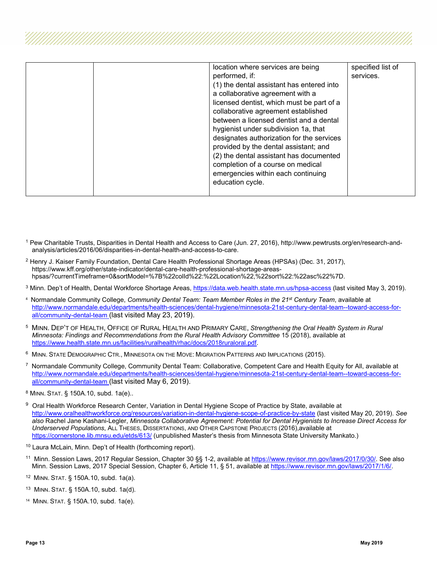| location where services are being         | specified list of |
|-------------------------------------------|-------------------|
|                                           |                   |
| performed, if:                            | services.         |
| (1) the dental assistant has entered into |                   |
| a collaborative agreement with a          |                   |
| licensed dentist, which must be part of a |                   |
| collaborative agreement established       |                   |
| between a licensed dentist and a dental   |                   |
| hygienist under subdivision 1a, that      |                   |
| designates authorization for the services |                   |
| provided by the dental assistant; and     |                   |
| (2) the dental assistant has documented   |                   |
| completion of a course on medical         |                   |
| emergencies within each continuing        |                   |
| education cycle.                          |                   |
|                                           |                   |

- <span id="page-12-0"></span><sup>1</sup> Pew Charitable Trusts, Disparities in Dental Health and Access to Care (Jun. 27, 2016), http://www.pewtrusts.org/en/research-andanalysis/articles/2016/06/disparities-in-dental-health-and-access-to-care.
- <span id="page-12-1"></span><sup>2</sup> Henry J. Kaiser Family Foundation, Dental Care Health Professional Shortage Areas (HPSAs) (Dec. 31, 2017), https://www.kff.org/other/state-indicator/dental-care-health-professional-shortage-areashpsas/?currentTimeframe=0&sortModel=%7B%22colId%22:%22Location%22,%22sort%22:%22asc%22%7D.
- <span id="page-12-2"></span><sup>3</sup> Minn. Dep't of Health, Dental Workforce Shortage Areas,<https://data.web.health.state.mn.us/hpsa-access> (last visited May 3, 2019).
- <span id="page-12-3"></span>4 Normandale Community College, *Community Dental Team: Team Member Roles in the 21st Century Team*, available at [http://www.normandale.edu/departments/health-sciences/dental-hygiene/minnesota-21st-century-dental-team--toward-access-for](http://www.normandale.edu/departments/health-sciences/dental-hygiene/minnesota-21st-century-dental-team--toward-access-for-all/community-dental-team)[all/community-dental-team](http://www.normandale.edu/departments/health-sciences/dental-hygiene/minnesota-21st-century-dental-team--toward-access-for-all/community-dental-team) (last visited May 23, 2019).
- <span id="page-12-4"></span>5 MINN. DEP'T OF HEALTH, OFFICE OF RURAL HEALTH AND PRIMARY CARE, *Strengthening the Oral Health System in Rural Minnesota: Findings and Recommendations from the Rural Health Advisory Committee* 15 (2018), available at [https://www.health.state.mn.us/facilities/ruralhealth/rhac/docs/2018ruraloral.pdf.](https://www.health.state.mn.us/facilities/ruralhealth/rhac/docs/2018ruraloral.pdf)
- <span id="page-12-5"></span>6 MINN. STATE DEMOGRAPHIC CTR., MINNESOTA ON THE MOVE: MIGRATION PATTERNS AND IMPLICATIONS (2015).
- <span id="page-12-6"></span>7 Normandale Community College, Community Dental Team: Collaborative, Competent Care and Health Equity for All, available at [http://www.normandale.edu/departments/health-sciences/dental-hygiene/minnesota-21st-century-dental-team--toward-access-for](http://www.normandale.edu/departments/health-sciences/dental-hygiene/minnesota-21st-century-dental-team--toward-access-for-all/community-dental-team)[all/community-dental-team](http://www.normandale.edu/departments/health-sciences/dental-hygiene/minnesota-21st-century-dental-team--toward-access-for-all/community-dental-team) (last visited May 6, 2019).
- <span id="page-12-7"></span><sup>8</sup> MINN. STAT. § 150A.10, subd. 1a(e)..
- <span id="page-12-8"></span>9 Oral Health Workforce Research Center, Variation in Dental Hygiene Scope of Practice by State, available at <http://www.oralhealthworkforce.org/resources/variation-in-dental-hygiene-scope-of-practice-by-state> (last visited May 20, 2019). *See also* Rachel Jane Kashani-Legler, *Minnesota Collaborative Agreement: Potential for Dental Hygienists to Increase Direct Access for Underserved Populations*, ALL THESES, DISSERTATIONS, AND OTHER CAPSTONE PROJECTS (2016),available at <https://cornerstone.lib.mnsu.edu/etds/613/> (unpublished Master's thesis from Minnesota State University Mankato.)
- <span id="page-12-9"></span><sup>10</sup> Laura McLain, Minn. Dep't of Health (forthcoming report).
- <span id="page-12-10"></span><sup>11</sup> Minn. Session Laws, 2017 Regular Session, Chapter 30 §§ 1-2, available at [https://www.revisor.mn.gov/laws/2017/0/30/.](https://www.revisor.mn.gov/laws/2017/0/30/) See also Minn. Session Laws, 2017 Special Session, Chapter 6, Article 11, § 51, available at [https://www.revisor.mn.gov/laws/2017/1/6/.](https://www.revisor.mn.gov/laws/2017/1/6/)
- <span id="page-12-11"></span><sup>12</sup> MINN. STAT. § 150A.10, subd. 1a(a).
- <span id="page-12-12"></span>13 MINN. STAT. § 150A.10, subd. 1a(d).
- <span id="page-12-13"></span>14 MINN. STAT. § 150A.10, subd. 1a(e).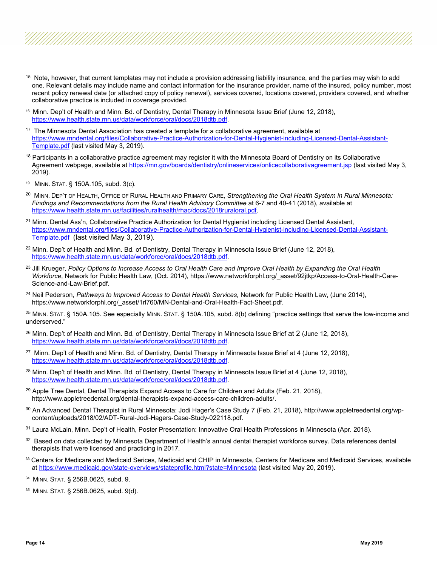- <span id="page-13-0"></span><sup>15</sup> Note, however, that current templates may not include a provision addressing liability insurance, and the parties may wish to add one. Relevant details may include name and contact information for the insurance provider, name of the insured, policy number, most recent policy renewal date (or attached copy of policy renewal), services covered, locations covered, providers covered, and whether collaborative practice is included in coverage provided.
- <span id="page-13-1"></span>16 Minn. Dep't of Health and Minn. Bd. of Dentistry, Dental Therapy in Minnesota Issue Brief (June 12, 2018), [https://www.health.state.mn.us/data/workforce/oral/docs/2018dtb.pdf.](https://www.health.state.mn.us/data/workforce/oral/docs/2018dtb.pdf)
- <span id="page-13-2"></span> $17$  The Minnesota Dental Association has created a template for a collaborative agreement, available at [https://www.mndental.org/files/Collaborative-Practice-Authorization-for-Dental-Hygienist-including-Licensed-Dental-Assistant-](https://www.mndental.org/files/Collaborative-Practice-Authorization-for-Dental-Hygienist-including-Licensed-Dental-Assistant-Template.pdf)[Template.pdf](https://www.mndental.org/files/Collaborative-Practice-Authorization-for-Dental-Hygienist-including-Licensed-Dental-Assistant-Template.pdf) (last visited May 3, 2019).
- <span id="page-13-3"></span><sup>18</sup> Participants in a collaborative practice agreement may register it with the Minnesota Board of Dentistry on its Collaborative Agreement webpage, available a[t https://mn.gov/boards/dentistry/onlineservices/onlicecollaborativagreement.jsp](https://mn.gov/boards/dentistry/onlineservices/onlicecollaborativagreement.jsp) (last visited May 3, 2019).
- <span id="page-13-4"></span>19 MINN. STAT. § 150A.105, subd. 3(c).
- <span id="page-13-5"></span>20 MINN. DEP'T OF HEALTH, OFFICE OF RURAL HEALTH AND PRIMARY CARE, *Strengthening the Oral Health System in Rural Minnesota: Findings and Recommendations from the Rural Health Advisory Committee* at 6-7 and 40-41 (2018), available at [https://www.health.state.mn.us/facilities/ruralhealth/rhac/docs/2018ruraloral.pdf.](https://www.health.state.mn.us/facilities/ruralhealth/rhac/docs/2018ruraloral.pdf)
- <span id="page-13-6"></span><sup>21</sup> Minn. Dental Ass'n, Collaborative Practice Authorization for Dental Hygienist including Licensed Dental Assistant, [https://www.mndental.org/files/Collaborative-Practice-Authorization-for-Dental-Hygienist-including-Licensed-Dental-Assistant-](https://www.mndental.org/files/Collaborative-Practice-Authorization-for-Dental-Hygienist-including-Licensed-Dental-Assistant-Template.pdf)[Template.pdf](https://www.mndental.org/files/Collaborative-Practice-Authorization-for-Dental-Hygienist-including-Licensed-Dental-Assistant-Template.pdf) (last visited May 3, 2019).
- <span id="page-13-7"></span><sup>22</sup> Minn. Dep't of Health and Minn. Bd. of Dentistry, Dental Therapy in Minnesota Issue Brief (June 12, 2018), [https://www.health.state.mn.us/data/workforce/oral/docs/2018dtb.pdf.](https://www.health.state.mn.us/data/workforce/oral/docs/2018dtb.pdf)
- <span id="page-13-8"></span><sup>23</sup> Jill Krueger, *Policy Options to Increase Access to Oral Health Care and Improve Oral Health by Expanding the Oral Health Workforce*, Network for Public Health Law, (Oct. 2014), https://www.networkforphl.org/\_asset/92jtkp/Access-to-Oral-Health-Care-Science-and-Law-Brief.pdf.
- <span id="page-13-9"></span><sup>24</sup> Neil Pederson, Pathways to Improved Access to Dental Health Services, Network for Public Health Law, (June 2014), https://www.networkforphl.org/\_asset/1rl760/MN-Dental-and-Oral-Health-Fact-Sheet.pdf.

<span id="page-13-10"></span> $^{25}$  MINN. STAT. § 150A.105. See especially MINN. STAT. § 150A.105, subd. 8(b) defining "practice settings that serve the low-income and underserved."

- <span id="page-13-11"></span> $26$  Minn. Dep't of Health and Minn. Bd. of Dentistry, Dental Therapy in Minnesota Issue Brief at 2 (June 12, 2018), [https://www.health.state.mn.us/data/workforce/oral/docs/2018dtb.pdf.](https://www.health.state.mn.us/data/workforce/oral/docs/2018dtb.pdf)
- <span id="page-13-12"></span><sup>27</sup> Minn. Dep't of Health and Minn. Bd. of Dentistry, Dental Therapy in Minnesota Issue Brief at 4 (June 12, 2018), [https://www.health.state.mn.us/data/workforce/oral/docs/2018dtb.pdf.](https://www.health.state.mn.us/data/workforce/oral/docs/2018dtb.pdf)
- <span id="page-13-13"></span><sup>28</sup> Minn. Dep't of Health and Minn. Bd. of Dentistry, Dental Therapy in Minnesota Issue Brief at 4 (June 12, 2018), [https://www.health.state.mn.us/data/workforce/oral/docs/2018dtb.pdf.](https://www.health.state.mn.us/data/workforce/oral/docs/2018dtb.pdf)
- <span id="page-13-14"></span><sup>29</sup> Apple Tree Dental, Dental Therapists Expand Access to Care for Children and Adults (Feb. 21, 2018), http://www.appletreedental.org/dental-therapists-expand-access-care-children-adults/.
- <span id="page-13-15"></span><sup>30</sup> An Advanced Dental Therapist in Rural Minnesota: Jodi Hager's Case Study 7 (Feb. 21, 2018), http://www.appletreedental.org/wpcontent/uploads/2018/02/ADT-Rural-Jodi-Hagers-Case-Study-022118.pdf.
- <span id="page-13-16"></span><sup>31</sup> Laura McLain, Minn. Dep't of Health, Poster Presentation: Innovative Oral Health Professions in Minnesota (Apr. 2018).
- <span id="page-13-17"></span>32 Based on data collected by Minnesota Department of Health's annual dental therapist workforce survey. Data references dental therapists that were licensed and practicing in 2017.
- <span id="page-13-18"></span>33 Centers for Medicare and Medicaid Serices, Medicaid and CHIP in Minnesota, Centers for Medicare and Medicaid Services, available a[t https://www.medicaid.gov/state-overviews/stateprofile.html?state=Minnesota](https://www.medicaid.gov/state-overviews/stateprofile.html?state=Minnesota) (last visited May 20, 2019).
- <span id="page-13-19"></span>34 MINN. STAT. § 256B.0625, subd. 9.
- <span id="page-13-20"></span>35 MINN. STAT. § 256B.0625, subd. 9(d).